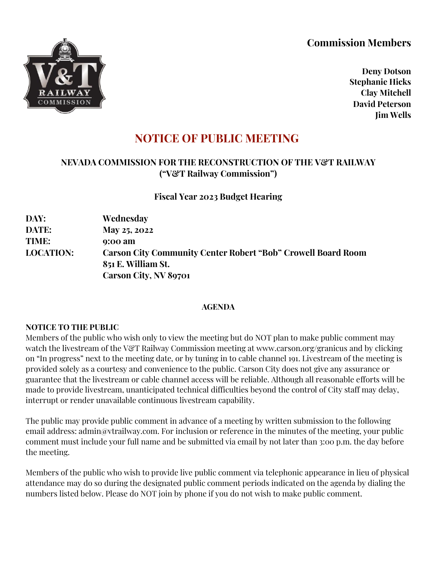# **Commission Members**



**Deny Dotson Stephanie Hicks Clay Mitchell David Peterson Jim Wells**

# **NOTICE OF PUBLIC MEETING**

## **NEVADA COMMISSION FOR THE RECONSTRUCTION OF THE V&T RAILWAY ("V&T Railway Commission")**

**Fiscal Year 2023 Budget Hearing** 

**DAY: Wednesday DATE: May 25, 2022 TIME: 9:00 am LOCATION: Carson City Community Center Robert "Bob" Crowell Board Room 851 E. William St. Carson City, NV 89701**

#### **AGENDA**

#### **NOTICE TO THE PUBLIC**

Members of the public who wish only to view the meeting but do NOT plan to make public comment may watch the livestream of the V&T Railway Commission meeting at www.carson.org/granicus and by clicking on "In progress" next to the meeting date, or by tuning in to cable channel 191. Livestream of the meeting is provided solely as a courtesy and convenience to the public. Carson City does not give any assurance or guarantee that the livestream or cable channel access will be reliable. Although all reasonable efforts will be made to provide livestream, unanticipated technical difficulties beyond the control of City staff may delay, interrupt or render unavailable continuous livestream capability.

The public may provide public comment in advance of a meeting by written submission to the following email address: admin@vtrailway.com. For inclusion or reference in the minutes of the meeting, your public comment must include your full name and be submitted via email by not later than 3:00 p.m. the day before the meeting.

Members of the public who wish to provide live public comment via telephonic appearance in lieu of physical attendance may do so during the designated public comment periods indicated on the agenda by dialing the numbers listed below. Please do NOT join by phone if you do not wish to make public comment.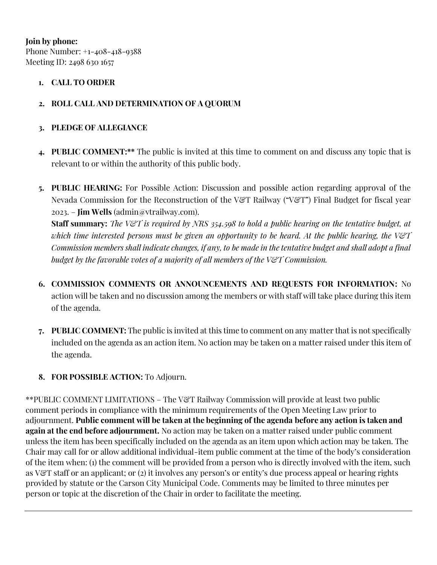**Join by phone:** Phone Number: +1-408-418-9388 Meeting ID: 2498 630 1657

#### **1. CALL TO ORDER**

### **2. ROLL CALL AND DETERMINATION OF A QUORUM**

#### **3. PLEDGE OF ALLEGIANCE**

- **4. PUBLIC COMMENT:\*\*** The public is invited at this time to comment on and discuss any topic that is relevant to or within the authority of this public body.
- **5. PUBLIC HEARING:** For Possible Action: Discussion and possible action regarding approval of the Nevada Commission for the Reconstruction of the V&T Railway ("V&T") Final Budget for fiscal year 2023. – **Jim Wells** (admin@vtrailway.com).

**Staff summary:** *The V&T is required by NRS 354.598 to hold a public hearing on the tentative budget, at which time interested persons must be given an opportunity to be heard. At the public hearing, the V&T Commission members shall indicate changes, if any, to be made in the tentative budget and shall adopt a final budget by the favorable votes of a majority of all members of the V&T Commission.*

- **6. COMMISSION COMMENTS OR ANNOUNCEMENTS AND REQUESTS FOR INFORMATION:** No action will be taken and no discussion among the members or with staff will take place during this item of the agenda.
- **7. PUBLIC COMMENT:** The public is invited at this time to comment on any matter that is not specifically included on the agenda as an action item. No action may be taken on a matter raised under this item of the agenda.

#### **8. FOR POSSIBLE ACTION:** To Adjourn.

\*\*PUBLIC COMMENT LIMITATIONS – The V&T Railway Commission will provide at least two public comment periods in compliance with the minimum requirements of the Open Meeting Law prior to adjournment. **Public comment will be taken at the beginning of the agenda before any action is taken and again at the end before adjournment.** No action may be taken on a matter raised under public comment unless the item has been specifically included on the agenda as an item upon which action may be taken. The Chair may call for or allow additional individual-item public comment at the time of the body's consideration of the item when: (1) the comment will be provided from a person who is directly involved with the item, such as V&T staff or an applicant; or (2) it involves any person's or entity's due process appeal or hearing rights provided by statute or the Carson City Municipal Code. Comments may be limited to three minutes per person or topic at the discretion of the Chair in order to facilitate the meeting.